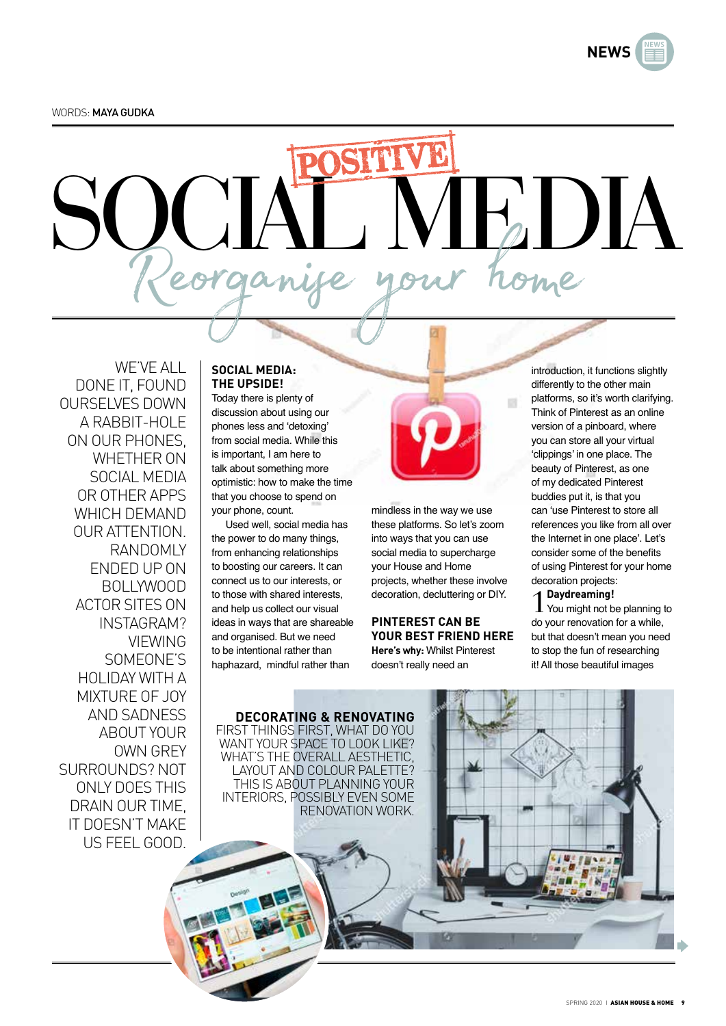**NEWS**

# SOCIAL MEDIA Reorganise your home

WE'VE ALL DONE IT, FOUND OURSELVES DOWN A RABBIT-HOL F ON OUR PHONES, WHETHER ON SOCIAL MEDIA OR OTHER APPS WHICH DEMAND OUR ATTENTION. RANDOMLY ENDED UP ON BOLLYWOOD ACTOR SITES ON INSTAGRAM? VIEWING SOMEONE'S HOLIDAY WITH A MIXTURE OF JOY AND SADNESS ABOUT YOUR OWN GREY SURROUNDS? NOT ONLY DOES THIS DRAIN OUR TIME, IT DOESN'T MAKE US FEEL GOOD.

### **SOCIAL MEDIA: THE UPSIDE!**

Today there is plenty of discussion about using our phones less and 'detoxing' from social media. While this is important, I am here to talk about something more optimistic: how to make the time that you choose to spend on your phone, count.

Used well, social media has the power to do many things, from enhancing relationships to boosting our careers. It can connect us to our interests, or to those with shared interests, and help us collect our visual ideas in ways that are shareable and organised. But we need to be intentional rather than haphazard, mindful rather than



**CT** 

mindless in the way we use these platforms. So let's zoom into ways that you can use social media to supercharge your House and Home projects, whether these involve decoration, decluttering or DIY.

#### **PINTEREST CAN BE YOUR BEST FRIEND HERE Here's why:** Whilst Pinterest doesn't really need an

introduction, it functions slightly differently to the other main platforms, so it's worth clarifying. Think of Pinterest as an online version of a pinboard, where you can store all your virtual 'clippings' in one place. The beauty of Pinterest, as one of my dedicated Pinterest buddies put it, is that you can 'use Pinterest to store all references you like from all over the Internet in one place'. Let's consider some of the benefits of using Pinterest for your home decoration projects:

1**Daydreaming!**  You might not be planning to do your renovation for a while, but that doesn't mean you need to stop the fun of researching it! All those beautiful images

**DECORATING & RENOVATING** FIRST THINGS FIRST, WHAT DO YOU WANT YOUR SPACE TO LOOK LIKE? WHAT'S THE OVERALL AESTHETIC, LAYOUT AND COLOUR PALETTE? THIS IS ABOUT PLANNING YOUR INTERIORS, POSSIBLY EVEN SOME RENOVATION WORK.